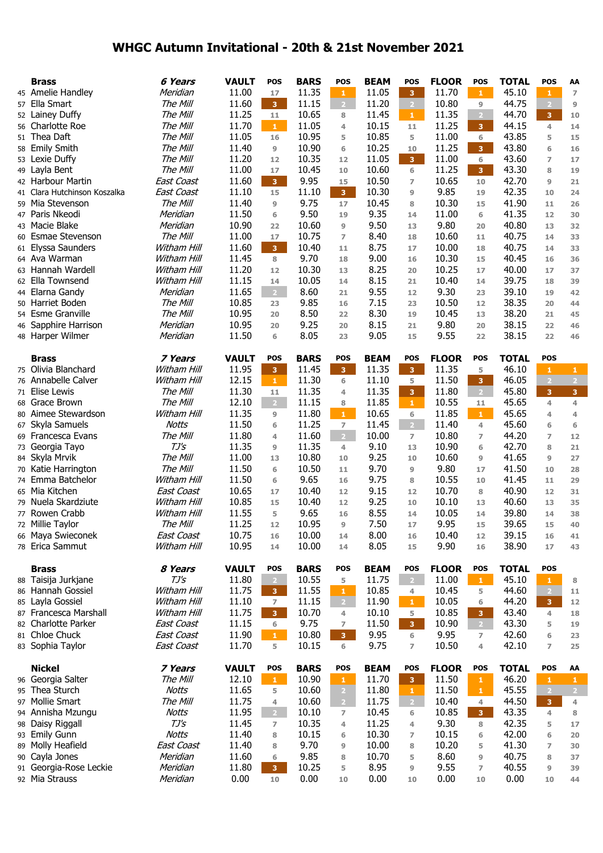## **WHGC Autumn Invitational - 20th & 21st November 2021**

| <b>Brass</b>                 | 6 Years           | <b>VAULT</b> | <b>POS</b>     | <b>BARS</b> | <b>POS</b>     | <b>BEAM</b> | <b>POS</b>              | <b>FLOOR</b> | <b>POS</b>     | <b>TOTAL</b> | <b>POS</b>              | AA             |
|------------------------------|-------------------|--------------|----------------|-------------|----------------|-------------|-------------------------|--------------|----------------|--------------|-------------------------|----------------|
| 45 Amelie Handley            | Meridian          | 11.00        | 17             | 11.35       | $\mathbf 1$    | 11.05       | $\overline{\mathbf{3}}$ | 11.70        | $\mathbf{1}$   | 45.10        | $\mathbf{1}$            | $\overline{7}$ |
| 57 Ella Smart                | The Mill          | 11.60        | 3 <sup>7</sup> | 11.15       | $\overline{2}$ | 11.20       | $\mathbf{2}$            | 10.80        | $\overline{9}$ | 44.75        | $\overline{2}$          | 9              |
| 52 Lainey Duffy              | The Mill          | 11.25        | 11             | 10.65       | 8              | 11.45       | $\mathbf{1}$            | 11.35        | 2 <sup>1</sup> | 44.70        | 3                       | 10             |
| 56 Charlotte Roe             | The Mill          | 11.70        | $\mathbf 1$    | 11.05       | 4              | 10.15       | 11                      | 11.25        | 3              | 44.15        | 4                       | 14             |
| 51 Thea Daft                 | The Mill          | 11.05        | 16             | 10.95       | 5              | 10.85       | 5                       | 11.00        | $\,$ 6 $\,$    | 43.85        | 5                       | 15             |
|                              |                   | 11.40        |                | 10.90       |                |             |                         |              |                | 43.80        |                         |                |
| 58 Emily Smith               | The Mill          |              | 9              |             | 6              | 10.25       | 10                      | 11.25        | 3              |              | 6                       | 16             |
| 53 Lexie Duffy               | The Mill          | 11.20        | 12             | 10.35       | 12             | 11.05       | 3 <sup>7</sup>          | 11.00        | 6              | 43.60        | $\overline{ }$          | 17             |
| 49 Layla Bent                | The Mill          | 11.00        | 17             | 10.45       | 10             | 10.60       | 6                       | 11.25        | 3 <sup>7</sup> | 43.30        | 8                       | 19             |
| 42 Harbour Martin            | <b>East Coast</b> | 11.60        | $\overline{3}$ | 9.95        | 15             | 10.50       | $\overline{z}$          | 10.65        | 10             | 42.70        | 9                       | 21             |
| 41 Clara Hutchinson Koszalka | <b>East Coast</b> | 11.10        | 15             | 11.10       | 3 <sup>°</sup> | 10.30       | $\overline{9}$          | 9.85         | 19             | 42.35        | 10                      | 24             |
| 59 Mia Stevenson             | The Mill          | 11.40        | 9              | 9.75        | 17             | 10.45       | 8                       | 10.30        | 15             | 41.90        | 11                      | 26             |
| 47 Paris Nkeodi              | Meridian          | 11.50        | 6              | 9.50        | 19             | 9.35        | 14                      | 11.00        | 6              | 41.35        | 12                      | 30             |
| 43 Macie Blake               | Meridian          | 10.90        | 22             | 10.60       | 9              | 9.50        | 13                      | 9.80         | 20             | 40.80        | 13                      | 32             |
| 60 Esmae Stevenson           | The Mill          | 11.00        | 17             | 10.75       | $\overline{z}$ | 8.40        | 18                      | 10.60        | 11             | 40.75        | 14                      | 33             |
|                              |                   | 11.60        |                |             |                | 8.75        |                         |              |                | 40.75        |                         |                |
| 61 Elyssa Saunders           | Witham Hill       |              | 3 <sup>7</sup> | 10.40       | 11             |             | 17                      | 10.00        | 18             |              | 14                      | 33             |
| 64 Ava Warman                | Witham Hill       | 11.45        | 8              | 9.70        | 18             | 9.00        | 16                      | 10.30        | 15             | 40.45        | 16                      | 36             |
| 63 Hannah Wardell            | Witham Hill       | 11.20        | 12             | 10.30       | 13             | 8.25        | 20                      | 10.25        | 17             | 40.00        | 17                      | 37             |
| 62 Ella Townsend             | Witham Hill       | 11.15        | 14             | 10.05       | 14             | 8.15        | 21                      | 10.40        | 14             | 39.75        | 18                      | 39             |
| 44 Elarna Gandy              | Meridian          | 11.65        | 2 <sup>1</sup> | 8.60        | 21             | 9.55        | 12                      | 9.30         | 23             | 39.10        | 19                      | 42             |
| 50 Harriet Boden             | The Mill          | 10.85        | 23             | 9.85        | 16             | 7.15        | 23                      | 10.50        | 12             | 38.35        | 20                      | 44             |
| 54 Esme Granville            | The Mill          | 10.95        | 20             | 8.50        | 22             | 8.30        | 19                      | 10.45        | 13             | 38.20        | 21                      | 45             |
| 46 Sapphire Harrison         | Meridian          | 10.95        | 20             | 9.25        | 20             | 8.15        | 21                      | 9.80         | 20             | 38.15        | 22                      | 46             |
| 48 Harper Wilmer             | Meridian          | 11.50        | 6              | 8.05        | 23             | 9.05        | 15                      | 9.55         | 22             | 38.15        | 22                      | 46             |
|                              |                   |              |                |             |                |             |                         |              |                |              |                         |                |
| <b>Brass</b>                 | 7 Years           | <b>VAULT</b> | <b>POS</b>     | <b>BARS</b> | <b>POS</b>     | <b>BEAM</b> | <b>POS</b>              | <b>FLOOR</b> | POS            | <b>TOTAL</b> | <b>POS</b>              |                |
|                              |                   |              |                |             |                |             |                         |              |                |              |                         |                |
| 75 Olivia Blanchard          | Witham Hill       | 11.95        | $\overline{3}$ | 11.45       | $\overline{3}$ | 11.35       | $\overline{\mathbf{3}}$ | 11.35        | 5              | 46.10        | $\mathbf{1}$            | $\mathbf{1}$   |
| 76 Annabelle Calver          | Witham Hill       | 12.15        | $\mathbf{1}$   | 11.30       | 6              | 11.10       | 5                       | 11.50        | 3              | 46.05        | $\overline{2}$          | $\overline{2}$ |
| 71 Elise Lewis               | The Mill          | 11.30        | 11             | 11.35       | 4              | 11.35       | 3 <sup>7</sup>          | 11.80        | $\sqrt{2}$     | 45.80        | $\overline{3}$          | 3 <sup>1</sup> |
| 68 Grace Brown               | The Mill          | 12.10        | 2 <sup>7</sup> | 11.15       | 8              | 11.85       | $\mathbf{1}$            | 10.55        | 11             | 45.65        | 4                       | $\overline{4}$ |
| 80 Aimee Stewardson          | Witham Hill       | 11.35        | 9              | 11.80       | $\mathbf{1}$   | 10.65       | 6                       | 11.85        | $\mathbf{1}$   | 45.65        | $\overline{4}$          | 4              |
| 67 Skyla Samuels             | <b>Notts</b>      | 11.50        | 6              | 11.25       | $\overline{7}$ | 11.45       | $\overline{2}$          | 11.40        | 4              | 45.60        | 6                       | 6              |
| 69 Francesca Evans           | The Mill          | 11.80        | 4              | 11.60       | $\overline{2}$ | 10.00       | $\overline{7}$          | 10.80        | $\overline{ }$ | 44.20        | $\overline{7}$          | 12             |
| 73 Georgia Tayo              | $TJ\mathcal{S}$   | 11.35        | 9              | 11.35       | $\overline{4}$ | 9.10        | 13                      | 10.90        | $\sqrt{6}$     | 42.70        | 8                       | 21             |
| 84 Skyla Mrvik               | The Mill          | 11.00        | 13             | 10.80       | 10             | 9.25        | 10                      | 10.60        | $\overline{9}$ | 41.65        | 9                       | 27             |
|                              |                   |              |                |             |                |             |                         |              |                |              |                         |                |
| 70 Katie Harrington          | The Mill          | 11.50        | 6              | 10.50       | 11             | 9.70        | $\overline{9}$          | 9.80         | 17             | 41.50        | 10                      | 28             |
| 74 Emma Batchelor            | Witham Hill       | 11.50        | 6              | 9.65        | 16             | 9.75        | 8                       | 10.55        | 10             | 41.45        | 11                      | 29             |
| 65 Mia Kitchen               | <b>East Coast</b> | 10.65        | 17             | 10.40       | 12             | 9.15        | 12                      | 10.70        | 8              | 40.90        | 12                      | 31             |
| 79 Nuela Skardziute          | Witham Hill       | 10.85        | 15             | 10.40       | 12             | 9.25        | 10                      | 10.10        | 13             | 40.60        | 13                      | 35             |
| 77 Rowen Crabb               | Witham Hill       | 11.55        | 5              | 9.65        | 16             | 8.55        | 14                      | 10.05        | 14             | 39.80        | 14                      | 38             |
| 72 Millie Taylor             | The Mill          | 11.25        | 12             | 10.95       | 9              | 7.50        | 17                      | 9.95         | 15             | 39.65        | 15                      | 40             |
| 66 Maya Swieconek            | East Coast        | 10.75        | 16             | 10.00       | 14             | 8.00        | 16                      | 10.40        | 12             | 39.15        | 16                      | 41             |
| 78 Erica Sammut              | Witham Hill       | 10.95        | 14             | 10.00       | 14             | 8.05        | 15                      | 9.90         | 16             | 38.90        | 17                      | 43             |
|                              |                   |              |                |             |                |             |                         |              |                |              |                         |                |
| <b>Brass</b>                 | 8 Years           | <b>VAULT</b> | <b>POS</b>     | <b>BARS</b> | <b>POS</b>     | <b>BEAM</b> | POS                     | <b>FLOOR</b> | <b>POS</b>     | <b>TOTAL</b> | <b>POS</b>              |                |
| 88 Taisija Jurkjane          | $TJ\mathcal{S}$   | 11.80        | $\overline{2}$ | 10.55       | 5              | 11.75       | $\sqrt{2}$              | 11.00        | $\mathbf{1}$   | 45.10        | $\mathbf{1}$            | 8              |
| 86 Hannah Gossiel            | Witham Hill       | 11.75        | 3 <sup>°</sup> | 11.55       | $\mathbf{1}$   | 10.85       |                         | 10.45        | 5              | 44.60        | $\overline{2}$          |                |
|                              |                   |              |                |             |                |             | 4                       |              |                |              |                         | 11             |
| 85 Layla Gossiel             | Witham Hill       | 11.10        | $\overline{7}$ | 11.15       | $\overline{2}$ | 11.90       | $\mathbf{1}$            | 10.05        | 6              | 44.20        | $\overline{\mathbf{3}}$ | 12             |
| 87 Francesca Marshall        | Witham Hill       | 11.75        | 3 <sup>°</sup> | 10.70       | 4              | 10.10       | 5                       | 10.85        | 3 <sup>1</sup> | 43.40        | 4                       | 18             |
| 82 Charlotte Parker          | East Coast        | 11.15        | 6              | 9.75        | $\overline{ }$ | 11.50       | 3 <sup>7</sup>          | 10.90        | $\overline{2}$ | 43.30        | 5                       | 19             |
| 81 Chloe Chuck               | <b>East Coast</b> | 11.90        | $\mathbf{1}$   | 10.80       | 3 <sup>2</sup> | 9.95        | 6                       | 9.95         | $\overline{7}$ | 42.60        | 6                       | 23             |
| 83 Sophia Taylor             | East Coast        | 11.70        | 5              | 10.15       | 6              | 9.75        | $\overline{z}$          | 10.50        | 4              | 42.10        | $\overline{z}$          | 25             |
|                              |                   |              |                |             |                |             |                         |              |                |              |                         |                |
| <b>Nickel</b>                | 7 Years           | <b>VAULT</b> | <b>POS</b>     | <b>BARS</b> | <b>POS</b>     | <b>BEAM</b> | POS                     | <b>FLOOR</b> | POS            | <b>TOTAL</b> | POS                     | AA             |
| 96 Georgia Salter            | The Mill          | 12.10        | $\mathbf{1}$   | 10.90       | $\mathbf{1}$   | 11.70       | 3 <sup>7</sup>          | 11.50        | $\mathbf{1}$   | 46.20        | $\mathbf 1$             | $\mathbf{1}$   |
| 95 Thea Sturch               | <b>Notts</b>      | 11.65        | 5              | 10.60       | $\overline{2}$ | 11.80       | $\mathbf{1}$            | 11.50        | $\mathbf{1}$   | 45.55        | $\overline{2}$          | $\overline{2}$ |
| 97 Mollie Smart              | The Mill          | 11.75        | 4              | 10.60       | 2 <sup>7</sup> | 11.75       | $\sqrt{2}$              | 10.40        | 4              | 44.50        | 3 <sup>7</sup>          | 4              |
| 94 Annisha Mzungu            | Notts             | 11.95        | 2 <sup>1</sup> | 10.10       |                | 10.45       |                         | 10.85        |                | 43.35        | 4                       |                |
|                              |                   |              |                |             | $\overline{7}$ |             | 6                       |              | 3              |              |                         | 8              |
| 98 Daisy Riggall             | $TJ\prime S$      | 11.45        | $\overline{z}$ | 10.35       | 4              | 11.25       | 4                       | 9.30         | 8              | 42.35        | 5                       | 17             |
| 93 Emily Gunn                | <b>Notts</b>      | 11.40        | 8              | 10.15       | 6              | 10.30       | $\overline{ }$          | 10.15        | 6              | 42.00        | 6                       | 20             |
| 89 Molly Heafield            | East Coast        | 11.40        | 8              | 9.70        | 9              | 10.00       | 8                       | 10.20        | 5              | 41.30        | $\overline{7}$          | 30             |
| 90 Cayla Jones               | Meridian          | 11.60        | 6              | 9.85        | 8              | 10.70       | 5                       | 8.60         | $\overline{9}$ | 40.75        | 8                       | 37             |
| 91 Georgia-Rose Leckie       | Meridian          | 11.80        | 3 <sup>1</sup> | 10.25       | 5              | 8.95        | 9                       | 9.55         | $\overline{ }$ | 40.55        | 9                       | 39             |
| 92 Mia Strauss               | Meridian          | 0.00         | 10             | 0.00        | 10             | 0.00        | $10$                    | 0.00         | 10             | 0.00         | 10                      | 44             |
|                              |                   |              |                |             |                |             |                         |              |                |              |                         |                |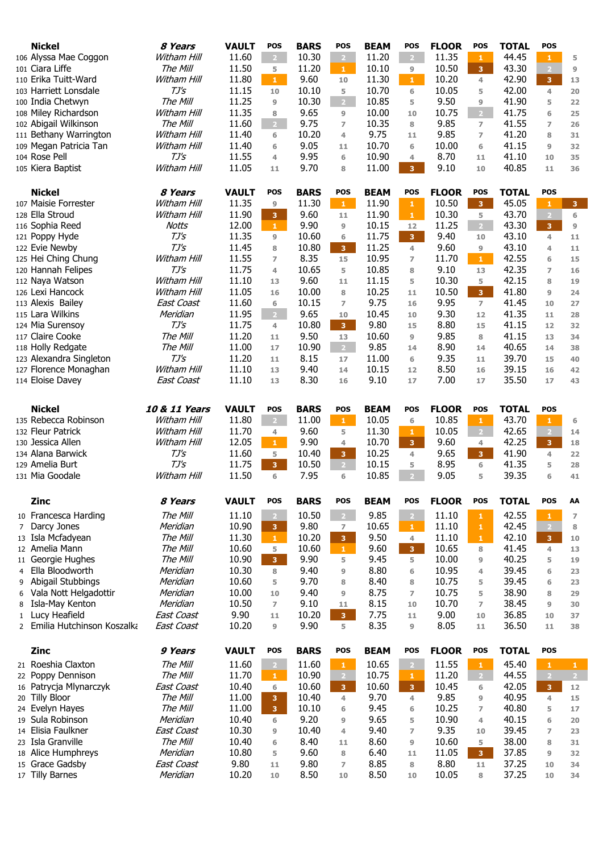| <b>Nickel</b>                                | 8 Years                       | <b>VAULT</b>   | <b>POS</b>              | <b>BARS</b>   | <b>POS</b>              | <b>BEAM</b>    | <b>POS</b>              | <b>FLOOR</b>   | <b>POS</b>              | <b>TOTAL</b>   | <b>POS</b>                     |                     |
|----------------------------------------------|-------------------------------|----------------|-------------------------|---------------|-------------------------|----------------|-------------------------|----------------|-------------------------|----------------|--------------------------------|---------------------|
| 106 Alyssa Mae Coggon                        | Witham Hill                   | 11.60          | 2 <sup>1</sup>          | 10.30         | $\sqrt{2}$              | 11.20          | $\overline{2}$          | 11.35          | $\mathbf{1}$            | 44.45          | $\mathbf{1}$                   | 5                   |
| 101 Ciara Liffe                              | The Mill                      | 11.50          | 5                       | 11.20         | $\mathbf{1}$            | 10.10          | 9                       | 10.50          | 3                       | 43.30          | $\overline{2}$                 | $\overline{9}$      |
| 110 Erika Tuitt-Ward                         | Witham Hill                   | 11.80          | $\mathbf{1}$            | 9.60          | 10                      | 11.30          | $\mathbf{1}$            | 10.20          | 4                       | 42.90          | $\mathbf{3}$                   | 13                  |
| 103 Harriett Lonsdale                        | TJ's                          | 11.15          | 10                      | 10.10         | 5                       | 10.70          | 6                       | 10.05          | 5                       | 42.00          | $\overline{4}$                 | 20                  |
| 100 India Chetwyn                            | The Mill                      | 11.25          | 9                       | 10.30         | $\overline{2}$          | 10.85          | 5                       | 9.50           | 9                       | 41.90          | 5                              | 22                  |
| 108 Miley Richardson                         | Witham Hill                   | 11.35          | 8                       | 9.65          | $\overline{9}$          | 10.00          | 10                      | 10.75          | $\overline{2}$          | 41.75          | 6                              | 25                  |
| 102 Abigail Wilkinson                        | The Mill                      | 11.60          | $2 -$                   | 9.75          | $\overline{ }$          | 10.35          | 8                       | 9.85           | $\overline{7}$          | 41.55          | $\overline{7}$                 | 26                  |
| 111 Bethany Warrington                       | Witham Hill                   | 11.40          | 6                       | 10.20         | 4                       | 9.75           | 11                      | 9.85           | $\overline{7}$          | 41.20          | 8                              | 31                  |
| 109 Megan Patricia Tan                       | Witham Hill                   | 11.40          | 6                       | 9.05          | 11                      | 10.70          | 6                       | 10.00          | 6                       | 41.15          | 9                              | 32                  |
| 104 Rose Pell                                | $TJ\mathsf{S}$                | 11.55          | 4                       | 9.95          | 6                       | 10.90          | 4                       | 8.70           | 11                      | 41.10          | 10                             | 35                  |
| 105 Kiera Baptist                            | Witham Hill                   | 11.05          | 11                      | 9.70          | 8                       | 11.00          | 3 <sup>°</sup>          | 9.10           | 10                      | 40.85          | 11                             | 36                  |
|                                              |                               |                |                         |               |                         |                |                         |                |                         |                |                                |                     |
| <b>Nickel</b>                                | 8 Years                       | <b>VAULT</b>   | <b>POS</b>              | <b>BARS</b>   | <b>POS</b>              | <b>BEAM</b>    | <b>POS</b>              | <b>FLOOR</b>   | <b>POS</b>              | <b>TOTAL</b>   | <b>POS</b>                     |                     |
| 107 Maisie Forrester                         | Witham Hill                   | 11.35          | 9                       | 11.30         | $\mathbf{1}$            | 11.90          | $\mathbf{1}$            | 10.50          | $\overline{\mathbf{3}}$ | 45.05          | $\mathbf{1}$                   | $\mathbf{3}$        |
| 128 Ella Stroud                              | Witham Hill                   | 11.90          | 3                       | 9.60          | 11                      | 11.90          | ${\bf 1}$               | 10.30          | 5                       | 43.70          | $\overline{2}$                 | 6                   |
| 116 Sophia Reed                              | <b>Notts</b>                  | 12.00          | $\mathbf{1}$            | 9.90          | 9                       | 10.15          | 12                      | 11.25          | 2 <sup>1</sup>          | 43.30          | $\mathbf{3}$                   | $\overline{9}$      |
| 121 Poppy Hyde                               | TJ's                          | 11.35          | 9                       | 10.60         | 6                       | 11.75          | $\overline{\mathbf{3}}$ | 9.40           | 10                      | 43.10          | 4                              | 11                  |
| 122 Evie Newby                               | $TJ\mathcal{S}$               | 11.45          | 8                       | 10.80         | 3 <sup>°</sup>          | 11.25          | $\overline{4}$          | 9.60           | 9                       | 43.10          | $\overline{4}$                 | 11                  |
| 125 Hei Ching Chung                          | Witham Hill                   | 11.55          | $\overline{ }$          | 8.35          | 15                      | 10.95          | $\overline{ }$          | 11.70          | $\mathbf{1}$            | 42.55          | 6                              | 15                  |
| 120 Hannah Felipes                           | $TJ\mathsf{S}$<br>Witham Hill | 11.75          | 4                       | 10.65<br>9.60 | 5                       | 10.85          | 8                       | 9.10           | 13                      | 42.35<br>42.15 | $\overline{7}$                 | 16                  |
| 112 Naya Watson<br>126 Lexi Hancock          | Witham Hill                   | 11.10<br>11.05 | 13                      | 10.00         | 11<br>8                 | 11.15<br>10.25 | 5                       | 10.30<br>10.50 | 5<br>3 <sup>°</sup>     | 41.80          | 8                              | 19                  |
| 113 Alexis Bailey                            | <b>East Coast</b>             | 11.60          | 16<br>6                 | 10.15         | $\overline{ }$          | 9.75           | 11<br>16                | 9.95           | $\overline{7}$          | 41.45          | 9<br>10                        | 24<br>27            |
| 115 Lara Wilkins                             | Meridian                      | 11.95          | 2 <sup>1</sup>          | 9.65          | 10                      | 10.45          | 10                      | 9.30           | 12                      | 41.35          | 11                             | 28                  |
| 124 Mia Surensoy                             | TJ's                          | 11.75          | 4                       | 10.80         | 3 <sup>7</sup>          | 9.80           | 15                      | 8.80           | 15                      | 41.15          | 12                             | 32                  |
| 117 Claire Cooke                             | The Mill                      | 11.20          | 11                      | 9.50          | 13                      | 10.60          | 9                       | 9.85           | 8                       | 41.15          | 13                             | 34                  |
| 118 Holly Redgate                            | The Mill                      | 11.00          | 17                      | 10.90         | $\overline{2}$          | 9.85           | 14                      | 8.90           | 14                      | 40.65          | 14                             | 38                  |
| 123 Alexandra Singleton                      | $TJ\mathcal{S}$               | 11.20          | 11                      | 8.15          | 17                      | 11.00          | 6                       | 9.35           | 11                      | 39.70          | 15                             | 40                  |
| 127 Florence Monaghan                        | Witham Hill                   | 11.10          | 13                      | 9.40          | 14                      | 10.15          | 12                      | 8.50           | 16                      | 39.15          | 16                             | 42                  |
| 114 Eloise Davey                             | <b>East Coast</b>             | 11.10          | 13                      | 8.30          | 16                      | 9.10           | 17                      | 7.00           | 17                      | 35.50          | 17                             | 43                  |
|                                              |                               |                |                         |               |                         |                |                         |                |                         |                |                                |                     |
|                                              |                               |                |                         |               |                         |                |                         |                |                         |                |                                |                     |
| <b>Nickel</b>                                | 10 & 11 Years                 | <b>VAULT</b>   | <b>POS</b>              | <b>BARS</b>   | <b>POS</b>              | <b>BEAM</b>    | <b>POS</b>              | <b>FLOOR</b>   | <b>POS</b>              | <b>TOTAL</b>   | <b>POS</b>                     |                     |
| 135 Rebecca Robinson<br>132 Fleur Patrick    | Witham Hill<br>Witham Hill    | 11.80<br>11.70 | 2 <sup>1</sup>          | 11.00         | 1 <sup>1</sup>          | 10.05<br>11.30 | 6                       | 10.85<br>10.05 | $\mathbf{1}$            | 43.70<br>42.65 | $\mathbf{1}$<br>$\overline{2}$ | $6\phantom{1}6$     |
| 130 Jessica Allen                            | Witham Hill                   | 12.05          | 4<br>$\mathbf{1}$       | 9.60<br>9.90  | 5                       | 10.70          | 1                       | 9.60           | $\overline{2}$          | 42.25          |                                | 14                  |
| 134 Alana Barwick                            | $TJ\prime S$                  | 11.60          | 5                       | 10.40         | 4<br>3 <sup>7</sup>     | 10.25          | 3<br>$\overline{4}$     | 9.65           | 4<br>3 <sup>°</sup>     | 41.90          | $\mathbf{3}$<br>$\overline{4}$ | 18<br>22            |
| 129 Amelia Burt                              | $TJ\mathcal{S}$               | 11.75          | $\overline{3}$          | 10.50         | $\overline{2}$          | 10.15          | 5                       | 8.95           | 6                       | 41.35          | 5                              | 28                  |
| 131 Mia Goodale                              | Witham Hill                   | 11.50          | 6                       | 7.95          | 6                       | 10.85          | 2 <sup>1</sup>          | 9.05           | 5                       | 39.35          | 6                              | 41                  |
|                                              |                               |                |                         |               |                         |                |                         |                |                         |                |                                |                     |
| <b>Zinc</b>                                  | 8 Years                       | <b>VAULT</b>   | <b>POS</b>              | <b>BARS</b>   | POS                     | <b>BEAM</b>    | <b>POS</b>              | <b>FLOOR</b>   | <b>POS</b>              | <b>TOTAL</b>   | <b>POS</b>                     | AA                  |
| 10 Francesca Harding                         | The Mill                      | 11.10          | $\overline{2}$          | 10.50         | $\sqrt{2}$              | 9.85           | $\sqrt{2}$              | 11.10          | $\mathbf 1$             | 42.55          | $\mathbf{1}$                   |                     |
| 7 Darcy Jones                                | Meridian                      | 10.90          | 3 <sup>°</sup>          | 9.80          | $\overline{7}$          | 10.65          | $\mathbf{1}$            | 11.10          | $\mathbf{1}$            | 42.45          | $\overline{2}$                 | $\overline{ }$<br>8 |
| 13 Isla Mcfadyean                            | The Mill                      | 11.30          | $\mathbf{1}$            | 10.20         | $\overline{\mathbf{3}}$ | 9.50           | 4                       | 11.10          | $\mathbf{1}$            | 42.10          | 3 <sup>7</sup>                 | 10                  |
| 12 Amelia Mann                               | The Mill                      | 10.60          | 5                       | 10.60         | $\mathbf{1}$            | 9.60           | 3                       | 10.65          | 8                       | 41.45          | 4                              | 13                  |
| 11 Georgie Hughes                            | The Mill                      | 10.90          | 3 <sup>°</sup>          | 9.90          | 5                       | 9.45           | 5                       | 10.00          | 9                       | 40.25          | 5                              | 19                  |
| Ella Bloodworth<br>$\overline{4}$            | Meridian                      | 10.30          | 8                       | 9.40          | $\boldsymbol{9}$        | 8.80           | 6                       | 10.95          | 4                       | 39.45          | 6                              | 23                  |
| Abigail Stubbings<br>9                       | Meridian                      | 10.60          | 5                       | 9.70          | 8                       | 8.40           | 8                       | 10.75          | 5                       | 39.45          | 6                              | 23                  |
| Vala Nott Helgadottir<br>6                   | Meridian                      | 10.00          | 10                      | 9.40          | $\overline{9}$          | 8.75           | $\overline{ }$          | 10.75          | 5                       | 38.90          | 8                              | 29                  |
| Isla-May Kenton<br>8                         | Meridian                      | 10.50          | $\overline{z}$          | 9.10          | 11                      | 8.15           | 10                      | 10.70          | $\overline{z}$          | 38.45          | 9                              | 30                  |
| Lucy Heafield<br>$\mathbf{1}$                | <b>East Coast</b>             | 9.90           | 11                      | 10.20         | 3 <sup>°</sup>          | 7.75           | 11                      | 9.00           | 10                      | 36.85          | 10                             | 37                  |
| Emilia Hutchinson Koszalka<br>$\overline{2}$ | <b>East Coast</b>             | 10.20          | 9                       | 9.90          | 5                       | 8.35           | 9                       | 8.05           | 11                      | 36.50          | 11                             | 38                  |
|                                              |                               |                |                         |               |                         |                |                         |                |                         |                |                                |                     |
| Zinc                                         | 9 Years                       | <b>VAULT</b>   | <b>POS</b>              | <b>BARS</b>   | <b>POS</b>              | <b>BEAM</b>    | <b>POS</b>              | <b>FLOOR</b>   | <b>POS</b>              | <b>TOTAL</b>   | POS                            |                     |
| 21 Roeshia Claxton                           | The Mill                      | 11.60          | $2 -$                   | 11.60         | $\mathbf{1}^-$          | 10.65          | $\overline{2}$          | 11.55          | $\mathbf{1}$            | 45.40          | $\,$ 1 $\,$                    | $\mathbf{1}$        |
| 22 Poppy Dennison                            | The Mill                      | 11.70          | $\mathbf{1}$            | 10.90         | $\mathbf{2}$            | 10.75          | $\mathbf{1}$            | 11.20          | $\sqrt{2}$              | 44.55          | $\bigcirc$                     | $\overline{2}$      |
| 16 Patrycja Mlynarczyk                       | <b>East Coast</b>             | 10.40          | 6                       | 10.60         | 3 <sup>°</sup>          | 10.60          | $\overline{\mathbf{3}}$ | 10.45          | 6                       | 42.05          | $\overline{\mathbf{3}}$        | $12$                |
| 20 Tilly Bloor                               | The Mill                      | 11.00          | $\overline{\mathbf{3}}$ | 10.40         | $\overline{4}$          | 9.70           | $\overline{4}$          | 9.85           | 9                       | 40.95          | $\overline{4}$                 | 15                  |
| 24 Evelyn Hayes                              | The Mill                      | 11.00          | 3 <sup>7</sup>          | 10.10         | 6                       | 9.45           | 6                       | 10.25          | $\overline{z}$          | 40.80          | 5                              | 17                  |
| 19 Sula Robinson                             | Meridian                      | 10.40          | 6                       | 9.20          | 9                       | 9.65           | 5                       | 10.90          | 4                       | 40.15          | 6                              | 20                  |
| 14 Elisia Faulkner                           | <b>East Coast</b>             | 10.30          | 9                       | 10.40         | 4                       | 9.40           | $\overline{ }$          | 9.35           | 10                      | 39.45          | $\overline{7}$                 | 23                  |
| 23 Isla Granville                            | The Mill                      | 10.40          | 6                       | 8.40          | 11                      | 8.60           | 9                       | 10.60          | 5                       | 38.00          | 8                              | 31                  |
| 18 Alice Humphreys                           | Meridian                      | 10.80          | 5                       | 9.60          | 8                       | 6.40           | 11                      | 11.05          | 3 <sup>7</sup>          | 37.85          | 9                              | 32                  |
| 15 Grace Gadsby                              | East Coast                    | 9.80           | 11                      | 9.80          | $\overline{7}$          | 8.85           | 8                       | 8.80           | 11                      | 37.25          | 10                             | 34                  |
| 17 Tilly Barnes                              | Meridian                      | 10.20          | $10$                    | 8.50          | 10                      | 8.50           | 10                      | 10.05          | 8                       | 37.25          | 10                             | 34                  |